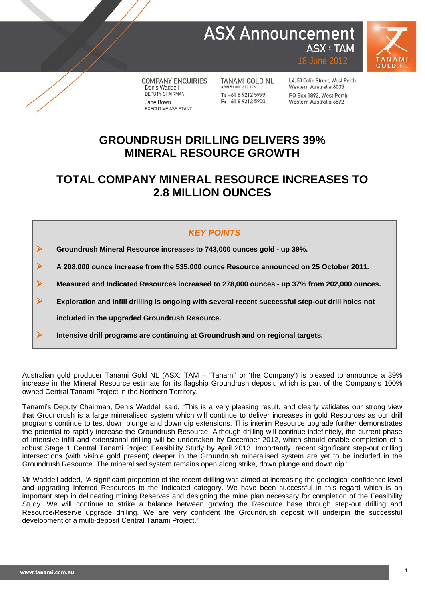# **ASX Announcement ASX: TAM**



**COMPANY ENQUIRIES** Denis Waddell DEPUTY CHAIRMAN Jane Bown EXECUTIVE ASSISTANT

**TANAMI GOLD NL** ABN 51 000 617 176 T: +61 8 9212 5999  $F: +61892125900$ 

L4, 50 Colin Street, West Perth Western Australia 6005 PO Roy 1892 West Perth Western Australia 6872

18 June 2012

### **GROUNDRUSH DRILLING DELIVERS 39% MINERAL RESOURCE GROWTH**

### **TOTAL COMPANY MINERAL RESOURCE INCREASES TO 2.8 MILLION OUNCES**

### *KEY POINTS*

**Groundrush Mineral Resource increases to 743,000 ounces gold - up 39%.**

**A 208,000 ounce increase from the 535,000 ounce Resource announced on 25 October 2011.**

**Measured and Indicated Resources increased to 278,000 ounces - up 37% from 202,000 ounces.**

**Exploration and infill drilling is ongoing with several recent successful step-out drill holes not** 

**included in the upgraded Groundrush Resource.**

**Intensive drill programs are continuing at Groundrush and on regional targets.**

Australian gold producer Tanami Gold NL (ASX: TAM – 'Tanami' or 'the Company') is pleased to announce a 39% increase in the Mineral Resource estimate for its flagship Groundrush deposit, which is part of the Company's 100% owned Central Tanami Project in the Northern Territory.

Tanami's Deputy Chairman, Denis Waddell said, "This is a very pleasing result, and clearly validates our strong view that Groundrush is a large mineralised system which will continue to deliver increases in gold Resources as our drill programs continue to test down plunge and down dip extensions. This interim Resource upgrade further demonstrates the potential to rapidly increase the Groundrush Resource. Although drilling will continue indefinitely, the current phase of intensive infill and extensional drilling will be undertaken by December 2012, which should enable completion of a robust Stage 1 Central Tanami Project Feasibility Study by April 2013. Importantly, recent significant step-out drilling intersections (with visible gold present) deeper in the Groundrush mineralised system are yet to be included in the Groundrush Resource. The mineralised system remains open along strike, down plunge and down dip."

Mr Waddell added, "A significant proportion of the recent drilling was aimed at increasing the geological confidence level and upgrading Inferred Resources to the Indicated category. We have been successful in this regard which is an important step in delineating mining Reserves and designing the mine plan necessary for completion of the Feasibility Study. We will continue to strike a balance between growing the Resource base through step-out drilling and Resource/Reserve upgrade drilling. We are very confident the Groundrush deposit will underpin the successful development of a multi-deposit Central Tanami Project."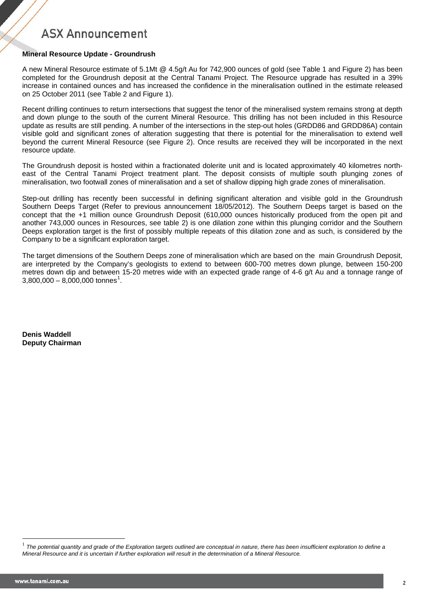### **Mineral Resource Update - Groundrush**

A new Mineral Resource estimate of 5.1Mt @ 4.5g/t Au for 742,900 ounces of gold (see Table 1 and Figure 2) has been completed for the Groundrush deposit at the Central Tanami Project. The Resource upgrade has resulted in a 39% increase in contained ounces and has increased the confidence in the mineralisation outlined in the estimate released on 25 October 2011 (see Table 2 and Figure 1).

Recent drilling continues to return intersections that suggest the tenor of the mineralised system remains strong at depth and down plunge to the south of the current Mineral Resource. This drilling has not been included in this Resource update as results are still pending. A number of the intersections in the step-out holes (GRDD86 and GRDD86A) contain visible gold and significant zones of alteration suggesting that there is potential for the mineralisation to extend well beyond the current Mineral Resource (see Figure 2). Once results are received they will be incorporated in the next resource update.

The Groundrush deposit is hosted within a fractionated dolerite unit and is located approximately 40 kilometres northeast of the Central Tanami Project treatment plant. The deposit consists of multiple south plunging zones of mineralisation, two footwall zones of mineralisation and a set of shallow dipping high grade zones of mineralisation.

Step-out drilling has recently been successful in defining significant alteration and visible gold in the Groundrush Southern Deeps Target (Refer to previous announcement 18/05/2012). The Southern Deeps target is based on the concept that the +1 million ounce Groundrush Deposit (610,000 ounces historically produced from the open pit and another 743,000 ounces in Resources, see table 2) is one dilation zone within this plunging corridor and the Southern Deeps exploration target is the first of possibly multiple repeats of this dilation zone and as such, is considered by the Company to be a significant exploration target.

The target dimensions of the Southern Deeps zone of mineralisation which are based on the main Groundrush Deposit, are interpreted by the Company's geologists to extend to between 600-700 metres down plunge, between 150-200 metres down dip and between 15-20 metres wide with an expected grade range of 4-6 g/t Au and a tonnage range of  $3,800,000 - 8,000,000$  tonnes<sup>[1](#page-1-0)</sup>.

**Denis Waddell Deputy Chairman**

<span id="page-1-0"></span><sup>&</sup>lt;sup>1</sup> The potential quantity and grade of the Exploration targets outlined are conceptual in nature, there has been insufficient exploration to define a *Mineral Resource and it is uncertain if further exploration will result in the determination of a Mineral Resource.*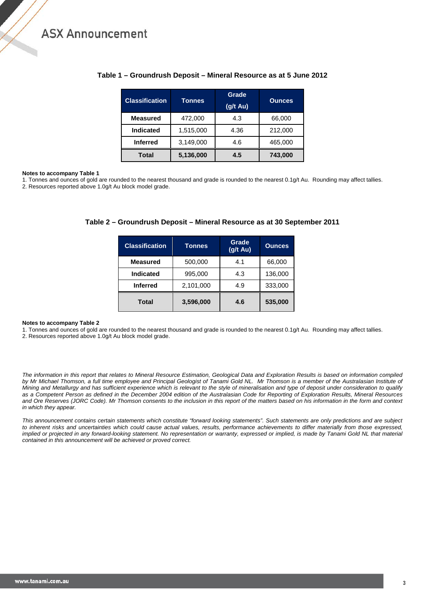| <b>Classification</b> | <b>Tonnes</b> | Grade              | <b>Ounces</b> |  |  |
|-----------------------|---------------|--------------------|---------------|--|--|
|                       |               | $(g/t \text{ Au})$ |               |  |  |
| <b>Measured</b>       | 472,000       | 4.3                | 66,000        |  |  |
| Indicated             | 1,515,000     | 4.36               | 212,000       |  |  |
| <b>Inferred</b>       | 3,149,000     | 4.6                | 465,000       |  |  |
| <b>Total</b>          | 5,136,000     | 4.5                | 743.000       |  |  |

#### **Table 1 – Groundrush Deposit – Mineral Resource as at 5 June 2012**

#### **Notes to accompany Table 1**

1. Tonnes and ounces of gold are rounded to the nearest thousand and grade is rounded to the nearest 0.1g/t Au. Rounding may affect tallies. 2. Resources reported above 1.0g/t Au block model grade.

| <b>Classification</b> | Tonnes    | Grade<br>(g/t Au) | <b>Ounces</b> |  |  |
|-----------------------|-----------|-------------------|---------------|--|--|
| <b>Measured</b>       | 500,000   | 4.1               | 66,000        |  |  |
| Indicated             | 995,000   | 4.3               | 136,000       |  |  |
| <b>Inferred</b>       | 2,101,000 | 4.9               | 333,000       |  |  |
| <b>Total</b>          | 3,596,000 | 4.6               | 535,000       |  |  |

#### **Table 2 – Groundrush Deposit – Mineral Resource as at 30 September 2011**

#### **Notes to accompany Table 2**

1. Tonnes and ounces of gold are rounded to the nearest thousand and grade is rounded to the nearest 0.1g/t Au. Rounding may affect tallies. 2. Resources reported above 1.0g/t Au block model grade.

*The information in this report that relates to Mineral Resource Estimation, Geological Data and Exploration Results is based on information compiled*  by Mr Michael Thomson, a full time employee and Principal Geologist of Tanami Gold NL. Mr Thomson is a member of the Australasian Institute of *Mining and Metallurgy and has sufficient experience which is relevant to the style of mineralisation and type of deposit under consideration to qualify as a Competent Person as defined in the December 2004 edition of the Australasian Code for Reporting of Exploration Results, Mineral Resources*  and Ore Reserves (JORC Code). Mr Thomson consents to the inclusion in this report of the matters based on his information in the form and context *in which they appear.*

*This announcement contains certain statements which constitute "forward looking statements". Such statements are only predictions and are subject*  to inherent risks and uncertainties which could cause actual values, results, performance achievements to differ materially from those expressed, implied or projected in any forward-looking statement. No representation or warranty, expressed or implied, is made by Tanami Gold NL that material *contained in this announcement will be achieved or proved correct.*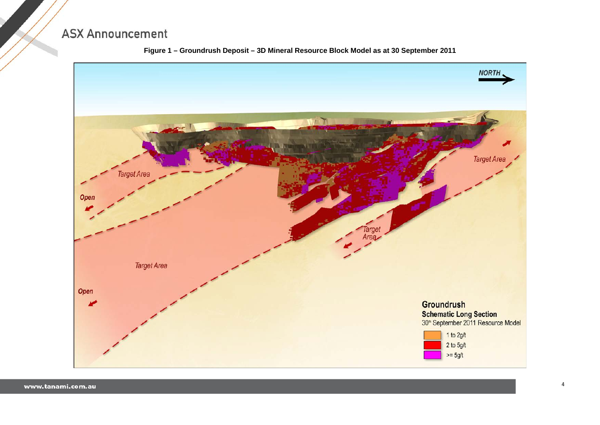

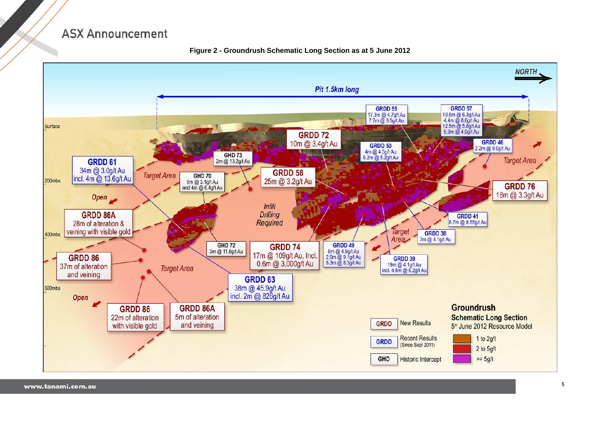

**Figure 2 - Groundrush Schematic Long Section as at 5 June 2012**